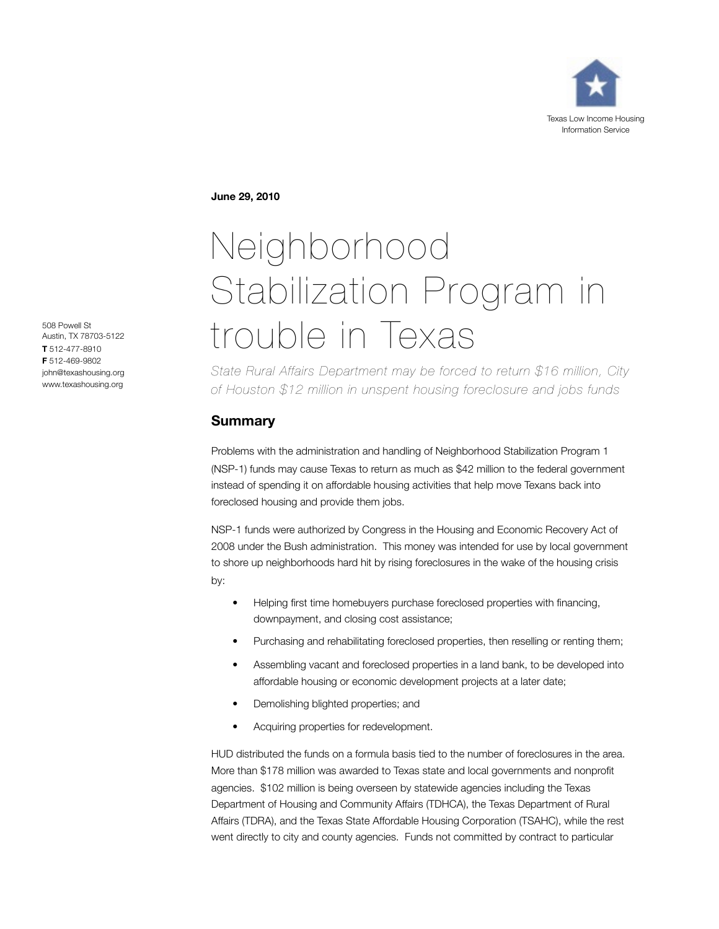

**June 29, 2010**

# Neighborhood Stabilization Program in trouble in Texas

*State Rural Affairs Department may be forced to return \$16 million, City of Houston \$12 million in unspent housing foreclosure and jobs funds*

# **Summary**

Problems with the administration and handling of Neighborhood Stabilization Program 1 (NSP-1) funds may cause Texas to return as much as \$42 million to the federal government instead of spending it on affordable housing activities that help move Texans back into foreclosed housing and provide them jobs.

NSP-1 funds were authorized by Congress in the Housing and Economic Recovery Act of 2008 under the Bush administration. This money was intended for use by local government to shore up neighborhoods hard hit by rising foreclosures in the wake of the housing crisis by:

- Helping first time homebuyers purchase foreclosed properties with financing, downpayment, and closing cost assistance;
- Purchasing and rehabilitating foreclosed properties, then reselling or renting them;
- Assembling vacant and foreclosed properties in a land bank, to be developed into affordable housing or economic development projects at a later date;
- Demolishing blighted properties; and
- Acquiring properties for redevelopment.

HUD distributed the funds on a formula basis tied to the number of foreclosures in the area. More than \$178 million was awarded to Texas state and local governments and nonprofit agencies. \$102 million is being overseen by statewide agencies including the Texas Department of Housing and Community Affairs (TDHCA), the Texas Department of Rural Affairs (TDRA), and the Texas State Affordable Housing Corporation (TSAHC), while the rest went directly to city and county agencies. Funds not committed by contract to particular

508 Powell St Austin, TX 78703-5122 **T** 512-477-8910 **F** 512-469-9802 john@texashousing.org www.texashousing.org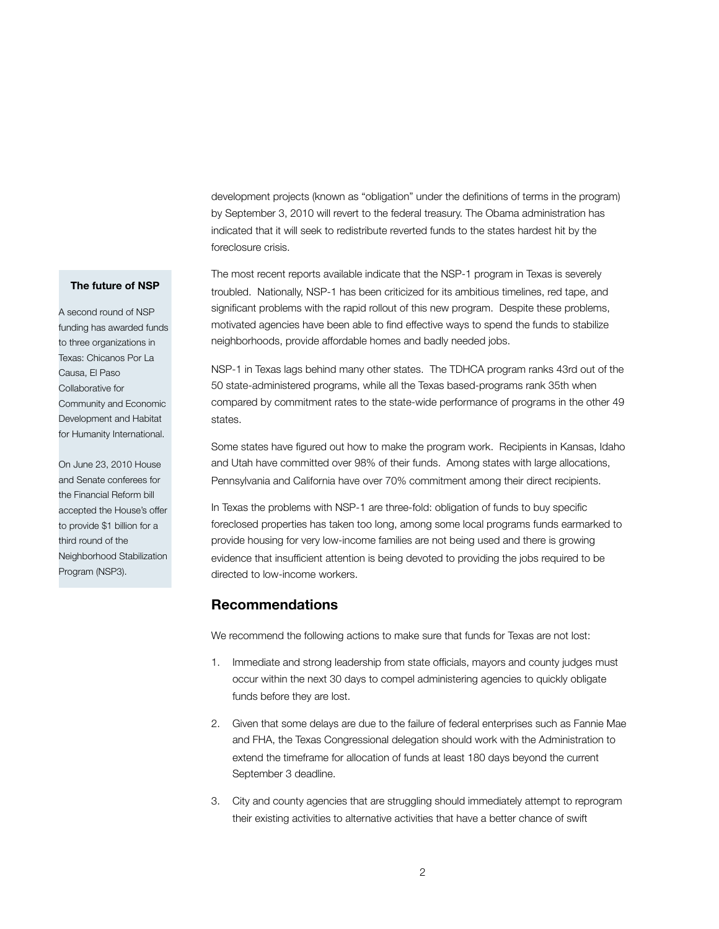development projects (known as "obligation" under the definitions of terms in the program) by September 3, 2010 will revert to the federal treasury. The Obama administration has indicated that it will seek to redistribute reverted funds to the states hardest hit by the foreclosure crisis.

#### **The future of NSP**

A second round of NSP funding has awarded funds to three organizations in Texas: Chicanos Por La Causa, El Paso Collaborative for Community and Economic Development and Habitat for Humanity International.

On June 23, 2010 House and Senate conferees for the Financial Reform bill accepted the House's offer to provide \$1 billion for a third round of the Neighborhood Stabilization Program (NSP3).

The most recent reports available indicate that the NSP-1 program in Texas is severely troubled. Nationally, NSP-1 has been criticized for its ambitious timelines, red tape, and significant problems with the rapid rollout of this new program. Despite these problems, motivated agencies have been able to find effective ways to spend the funds to stabilize neighborhoods, provide affordable homes and badly needed jobs.

NSP-1 in Texas lags behind many other states. The TDHCA program ranks 43rd out of the 50 state-administered programs, while all the Texas based-programs rank 35th when compared by commitment rates to the state-wide performance of programs in the other 49 states.

Some states have figured out how to make the program work. Recipients in Kansas, Idaho and Utah have committed over 98% of their funds. Among states with large allocations, Pennsylvania and California have over 70% commitment among their direct recipients.

In Texas the problems with NSP-1 are three-fold: obligation of funds to buy specific foreclosed properties has taken too long, among some local programs funds earmarked to provide housing for very low-income families are not being used and there is growing evidence that insufficient attention is being devoted to providing the jobs required to be directed to low-income workers.

## **Recommendations**

We recommend the following actions to make sure that funds for Texas are not lost:

- 1. Immediate and strong leadership from state officials, mayors and county judges must occur within the next 30 days to compel administering agencies to quickly obligate funds before they are lost.
- 2. Given that some delays are due to the failure of federal enterprises such as Fannie Mae and FHA, the Texas Congressional delegation should work with the Administration to extend the timeframe for allocation of funds at least 180 days beyond the current September 3 deadline.
- 3. City and county agencies that are struggling should immediately attempt to reprogram their existing activities to alternative activities that have a better chance of swift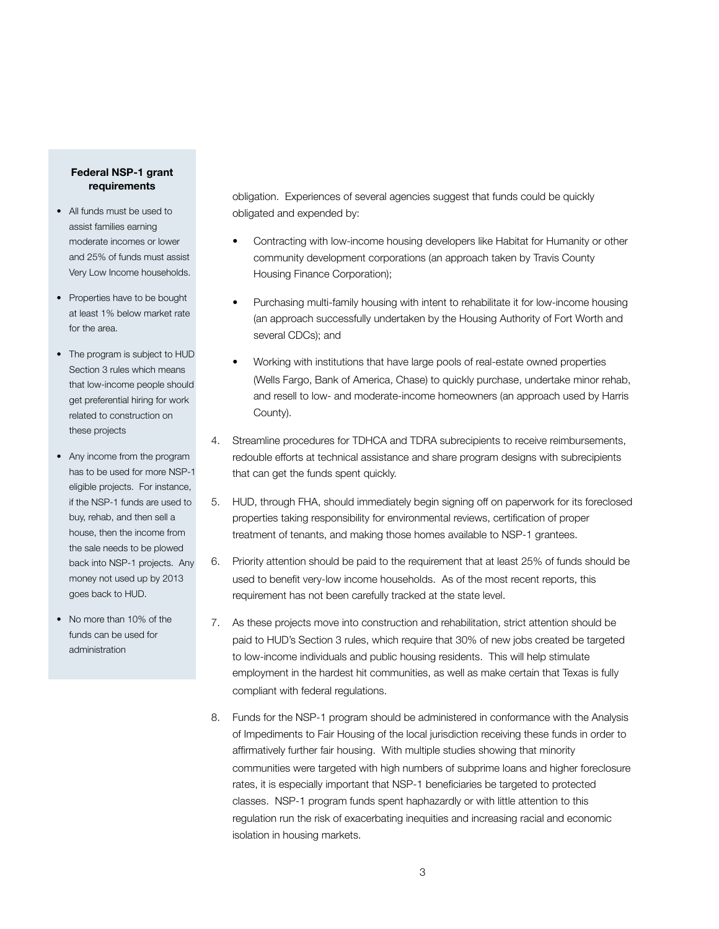## **Federal NSP-1 grant requirements**

- All funds must be used to assist families earning moderate incomes or lower and 25% of funds must assist Very Low Income households.
- Properties have to be bought at least 1% below market rate for the area.
- The program is subject to HUD Section 3 rules which means that low-income people should get preferential hiring for work related to construction on these projects
- Any income from the program has to be used for more NSP-1 eligible projects. For instance, if the NSP-1 funds are used to buy, rehab, and then sell a house, then the income from the sale needs to be plowed back into NSP-1 projects. Any money not used up by 2013 goes back to HUD.
- No more than 10% of the funds can be used for administration

obligation. Experiences of several agencies suggest that funds could be quickly obligated and expended by:

- Contracting with low-income housing developers like Habitat for Humanity or other community development corporations (an approach taken by Travis County Housing Finance Corporation);
- Purchasing multi-family housing with intent to rehabilitate it for low-income housing (an approach successfully undertaken by the Housing Authority of Fort Worth and several CDCs); and
- Working with institutions that have large pools of real-estate owned properties (Wells Fargo, Bank of America, Chase) to quickly purchase, undertake minor rehab, and resell to low- and moderate-income homeowners (an approach used by Harris County).
- 4. Streamline procedures for TDHCA and TDRA subrecipients to receive reimbursements, redouble efforts at technical assistance and share program designs with subrecipients that can get the funds spent quickly.
- 5. HUD, through FHA, should immediately begin signing off on paperwork for its foreclosed properties taking responsibility for environmental reviews, certification of proper treatment of tenants, and making those homes available to NSP-1 grantees.
- 6. Priority attention should be paid to the requirement that at least 25% of funds should be used to benefit very-low income households. As of the most recent reports, this requirement has not been carefully tracked at the state level.
- 7. As these projects move into construction and rehabilitation, strict attention should be paid to HUD's Section 3 rules, which require that 30% of new jobs created be targeted to low-income individuals and public housing residents. This will help stimulate employment in the hardest hit communities, as well as make certain that Texas is fully compliant with federal regulations.
- 8. Funds for the NSP-1 program should be administered in conformance with the Analysis of Impediments to Fair Housing of the local jurisdiction receiving these funds in order to affirmatively further fair housing. With multiple studies showing that minority communities were targeted with high numbers of subprime loans and higher foreclosure rates, it is especially important that NSP-1 beneficiaries be targeted to protected classes. NSP-1 program funds spent haphazardly or with little attention to this regulation run the risk of exacerbating inequities and increasing racial and economic isolation in housing markets.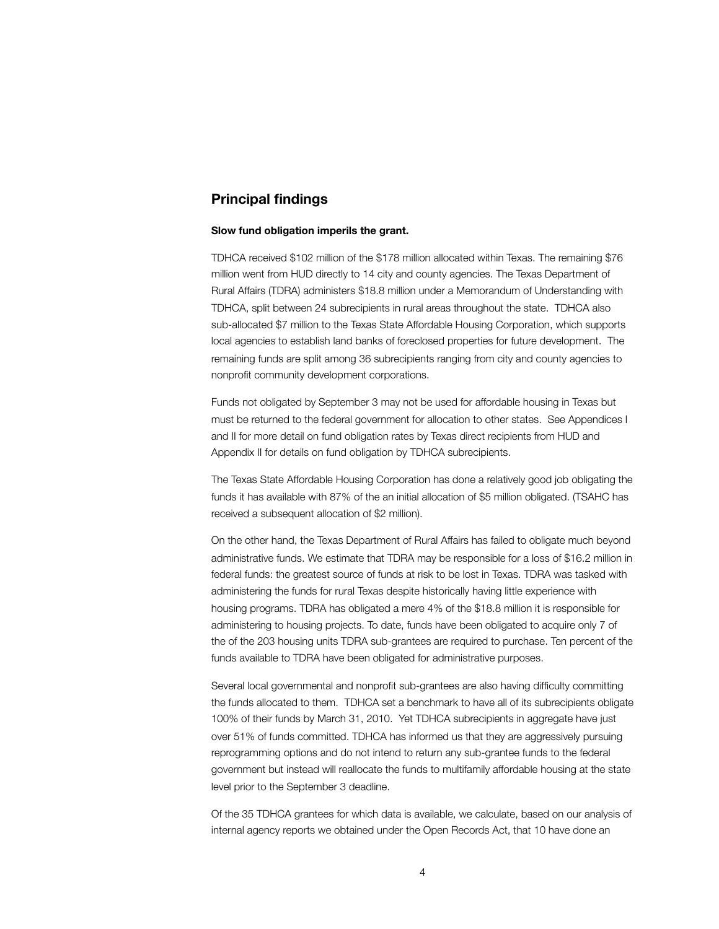## **Principal findings**

#### **Slow fund obligation imperils the grant.**

TDHCA received \$102 million of the \$178 million allocated within Texas. The remaining \$76 million went from HUD directly to 14 city and county agencies. The Texas Department of Rural Affairs (TDRA) administers \$18.8 million under a Memorandum of Understanding with TDHCA, split between 24 subrecipients in rural areas throughout the state. TDHCA also sub-allocated \$7 million to the Texas State Affordable Housing Corporation, which supports local agencies to establish land banks of foreclosed properties for future development. The remaining funds are split among 36 subrecipients ranging from city and county agencies to nonprofit community development corporations.

Funds not obligated by September 3 may not be used for affordable housing in Texas but must be returned to the federal government for allocation to other states. See Appendices I and II for more detail on fund obligation rates by Texas direct recipients from HUD and Appendix II for details on fund obligation by TDHCA subrecipients.

The Texas State Affordable Housing Corporation has done a relatively good job obligating the funds it has available with 87% of the an initial allocation of \$5 million obligated. (TSAHC has received a subsequent allocation of \$2 million).

On the other hand, the Texas Department of Rural Affairs has failed to obligate much beyond administrative funds. We estimate that TDRA may be responsible for a loss of \$16.2 million in federal funds: the greatest source of funds at risk to be lost in Texas. TDRA was tasked with administering the funds for rural Texas despite historically having little experience with housing programs. TDRA has obligated a mere 4% of the \$18.8 million it is responsible for administering to housing projects. To date, funds have been obligated to acquire only 7 of the of the 203 housing units TDRA sub-grantees are required to purchase. Ten percent of the funds available to TDRA have been obligated for administrative purposes.

Several local governmental and nonprofit sub-grantees are also having difficulty committing the funds allocated to them. TDHCA set a benchmark to have all of its subrecipients obligate 100% of their funds by March 31, 2010. Yet TDHCA subrecipients in aggregate have just over 51% of funds committed. TDHCA has informed us that they are aggressively pursuing reprogramming options and do not intend to return any sub-grantee funds to the federal government but instead will reallocate the funds to multifamily affordable housing at the state level prior to the September 3 deadline.

Of the 35 TDHCA grantees for which data is available, we calculate, based on our analysis of internal agency reports we obtained under the Open Records Act, that 10 have done an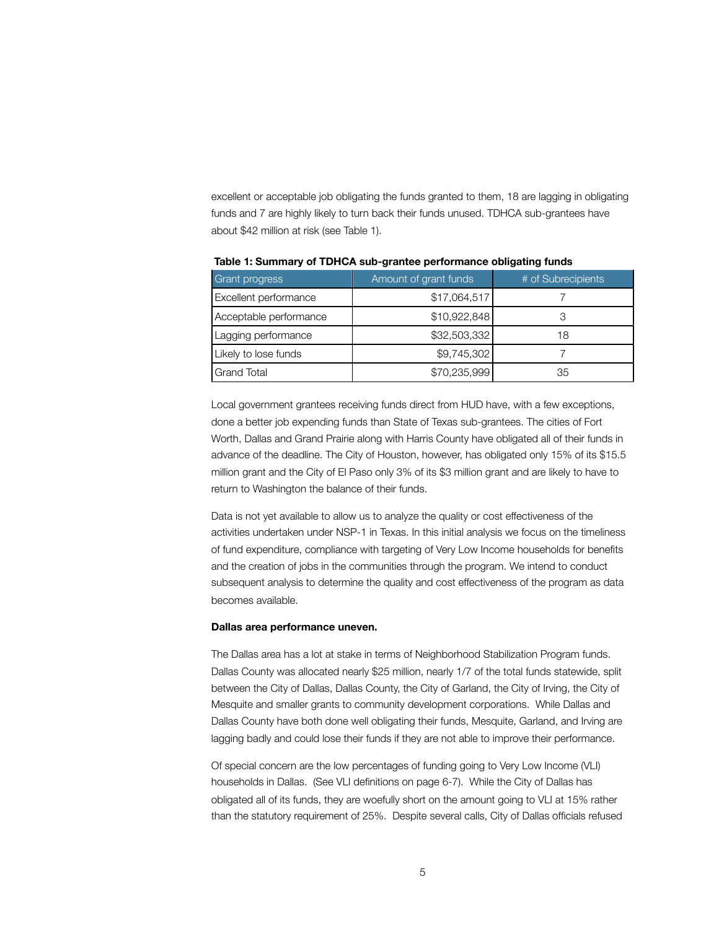excellent or acceptable job obligating the funds granted to them, 18 are lagging in obligating funds and 7 are highly likely to turn back their funds unused. TDHCA sub-grantees have about \$42 million at risk (see Table 1).

| <b>Grant progress</b>  | Amount of grant funds | # of Subrecipients |
|------------------------|-----------------------|--------------------|
| Excellent performance  | \$17,064,517          |                    |
| Acceptable performance | \$10,922,848          |                    |
| Lagging performance    | \$32,503,332          | 18                 |
| Likely to lose funds   | \$9,745,302           |                    |
| <b>Grand Total</b>     | \$70,235,999          | 35                 |

**Table 1: Summary of TDHCA sub-grantee performance obligating funds**

Local government grantees receiving funds direct from HUD have, with a few exceptions, done a better job expending funds than State of Texas sub-grantees. The cities of Fort Worth, Dallas and Grand Prairie along with Harris County have obligated all of their funds in advance of the deadline. The City of Houston, however, has obligated only 15% of its \$15.5 million grant and the City of El Paso only 3% of its \$3 million grant and are likely to have to return to Washington the balance of their funds.

Data is not yet available to allow us to analyze the quality or cost effectiveness of the activities undertaken under NSP-1 in Texas. In this initial analysis we focus on the timeliness of fund expenditure, compliance with targeting of Very Low Income households for benefits and the creation of jobs in the communities through the program. We intend to conduct subsequent analysis to determine the quality and cost effectiveness of the program as data becomes available.

### **Dallas area performance uneven.**

The Dallas area has a lot at stake in terms of Neighborhood Stabilization Program funds. Dallas County was allocated nearly \$25 million, nearly 1/7 of the total funds statewide, split between the City of Dallas, Dallas County, the City of Garland, the City of Irving, the City of Mesquite and smaller grants to community development corporations. While Dallas and Dallas County have both done well obligating their funds, Mesquite, Garland, and Irving are lagging badly and could lose their funds if they are not able to improve their performance.

Of special concern are the low percentages of funding going to Very Low Income (VLI) households in Dallas. (See VLI definitions on page 6-7). While the City of Dallas has obligated all of its funds, they are woefully short on the amount going to VLI at 15% rather than the statutory requirement of 25%. Despite several calls, City of Dallas officials refused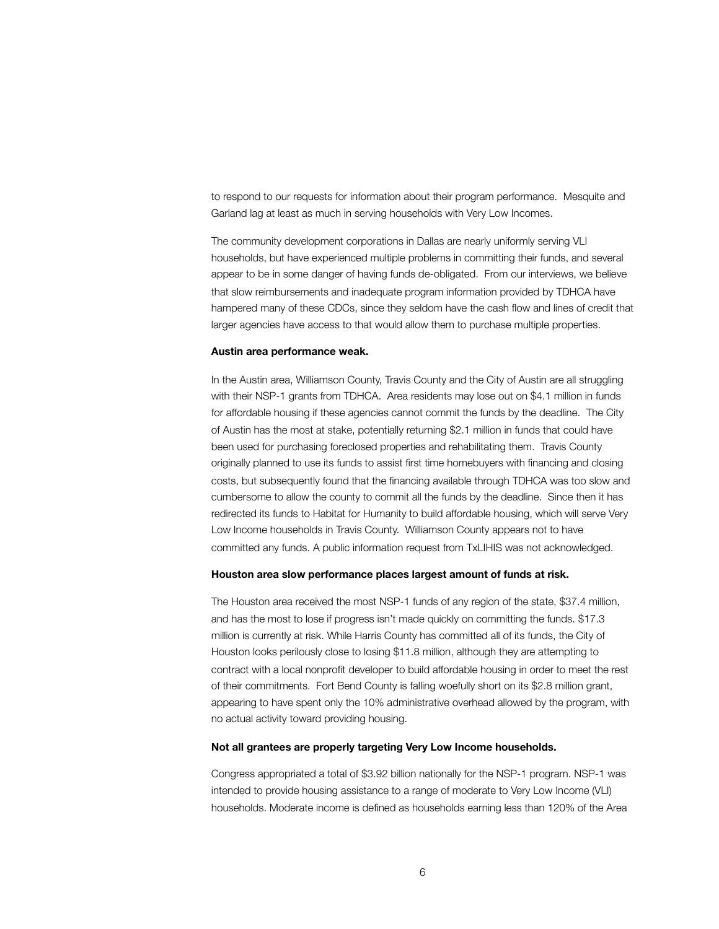to respond to our requests for information about their program performance. Mesquite and Garland lag at least as much in serving households with Very Low Incomes.

The community development corporations in Dallas are nearly uniformly serving VLI households, but have experienced multiple problems in committing their funds, and several appear to be in some danger of having funds de-obligated. From our interviews, we believe that slow reimbursements and inadequate program information provided by TDHCA have hampered many of these CDCs, since they seldom have the cash flow and lines of credit that larger agencies have access to that would allow them to purchase multiple properties.

#### **Austin area performance weak.**

In the Austin area, Williamson County, Travis County and the City of Austin are all struggling with their NSP-1 grants from TDHCA. Area residents may lose out on \$4.1 million in funds for affordable housing if these agencies cannot commit the funds by the deadline. The City of Austin has the most at stake, potentially returning \$2.1 million in funds that could have been used for purchasing foreclosed properties and rehabilitating them. Travis County originally planned to use its funds to assist first time homebuyers with financing and closing costs, but subsequently found that the financing available through TDHCA was too slow and cumbersome to allow the county to commit all the funds by the deadline. Since then it has redirected its funds to Habitat for Humanity to build affordable housing, which will serve Very Low Income households in Travis County. Williamson County appears not to have committed any funds. A public information request from TxLIHIS was not acknowledged.

#### **Houston area slow performance places largest amount of funds at risk.**

The Houston area received the most NSP-1 funds of any region of the state, \$37.4 million, and has the most to lose if progress isn't made quickly on committing the funds. \$17.3 million is currently at risk. While Harris County has committed all of its funds, the City of Houston looks perilously close to losing \$11.8 million, although they are attempting to contract with a local nonprofit developer to build affordable housing in order to meet the rest of their commitments. Fort Bend County is falling woefully short on its \$2.8 million grant, appearing to have spent only the 10% administrative overhead allowed by the program, with no actual activity toward providing housing.

## **Not all grantees are properly targeting Very Low Income households.**

Congress appropriated a total of \$3.92 billion nationally for the NSP-1 program. NSP-1 was intended to provide housing assistance to a range of moderate to Very Low Income (VLI) households. Moderate income is defined as households earning less than 120% of the Area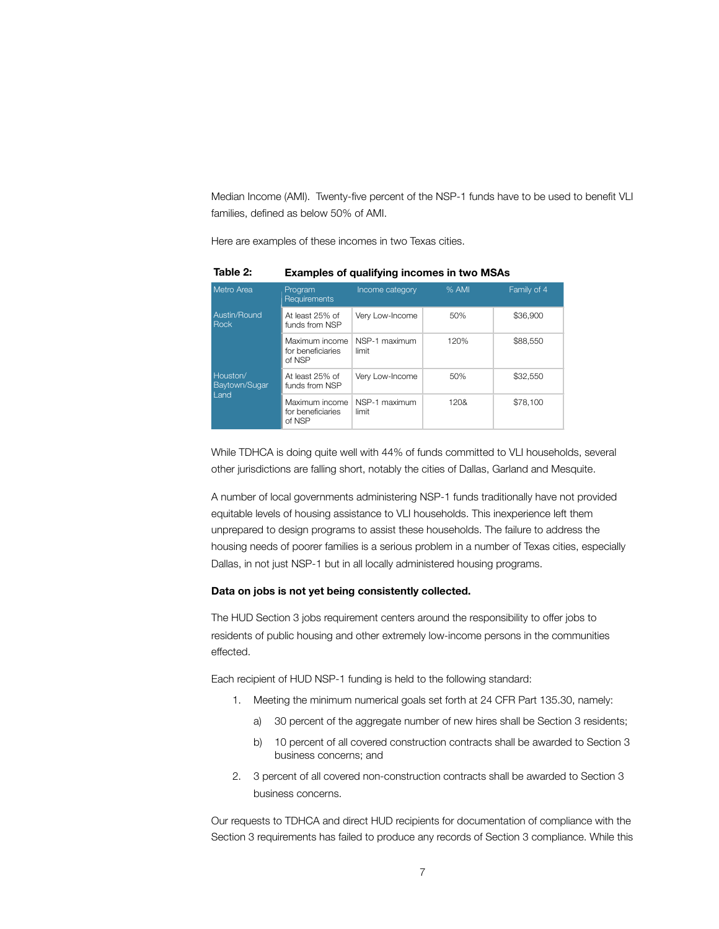Median Income (AMI). Twenty-five percent of the NSP-1 funds have to be used to benefit VLI families, defined as below 50% of AMI.

Here are examples of these incomes in two Texas cities.

| Metro Area                  | Program<br><b>Requirements</b>                | Income category        | % AMI | Family of 4 |
|-----------------------------|-----------------------------------------------|------------------------|-------|-------------|
| Austin/Round<br><b>Rock</b> | At least 25% of<br>funds from NSP             | Very Low-Income        | 50%   | \$36,900    |
|                             | Maximum income<br>for beneficiaries<br>of NSP | NSP-1 maximum<br>limit | 120%  | \$88,550    |
| Houston/<br>Baytown/Sugar   | At least 25% of<br>funds from NSP             | Very Low-Income        | 50%   | \$32,550    |
| Land                        | Maximum income<br>for beneficiaries<br>of NSP | NSP-1 maximum<br>limit | 120&  | \$78,100    |

**Table 2: Examples of qualifying incomes in two MSAs**

While TDHCA is doing quite well with 44% of funds committed to VLI households, several other jurisdictions are falling short, notably the cities of Dallas, Garland and Mesquite.

A number of local governments administering NSP-1 funds traditionally have not provided equitable levels of housing assistance to VLI households. This inexperience left them unprepared to design programs to assist these households. The failure to address the housing needs of poorer families is a serious problem in a number of Texas cities, especially Dallas, in not just NSP-1 but in all locally administered housing programs.

## **Data on jobs is not yet being consistently collected.**

The HUD Section 3 jobs requirement centers around the responsibility to offer jobs to residents of public housing and other extremely low-income persons in the communities effected.

Each recipient of HUD NSP-1 funding is held to the following standard:

- 1. Meeting the minimum numerical goals set forth at 24 CFR Part 135.30, namely:
	- a) 30 percent of the aggregate number of new hires shall be Section 3 residents;
	- b) 10 percent of all covered construction contracts shall be awarded to Section 3 business concerns; and
- 2. 3 percent of all covered non-construction contracts shall be awarded to Section 3 business concerns.

Our requests to TDHCA and direct HUD recipients for documentation of compliance with the Section 3 requirements has failed to produce any records of Section 3 compliance. While this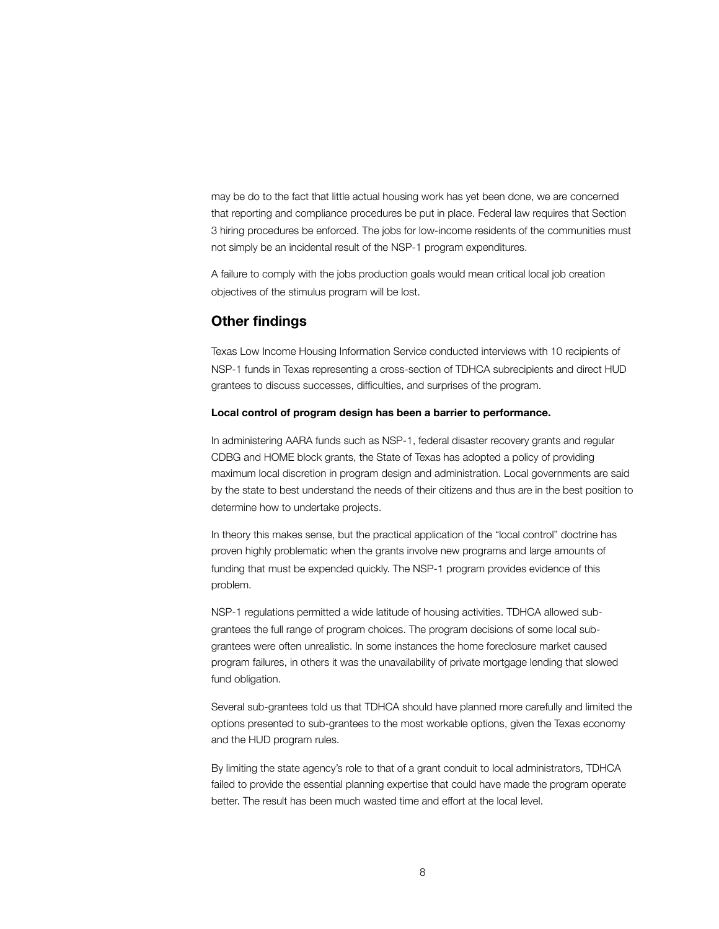may be do to the fact that little actual housing work has yet been done, we are concerned that reporting and compliance procedures be put in place. Federal law requires that Section 3 hiring procedures be enforced. The jobs for low-income residents of the communities must not simply be an incidental result of the NSP-1 program expenditures.

A failure to comply with the jobs production goals would mean critical local job creation objectives of the stimulus program will be lost.

## **Other findings**

Texas Low Income Housing Information Service conducted interviews with 10 recipients of NSP-1 funds in Texas representing a cross-section of TDHCA subrecipients and direct HUD grantees to discuss successes, difficulties, and surprises of the program.

## **Local control of program design has been a barrier to performance.**

In administering AARA funds such as NSP-1, federal disaster recovery grants and regular CDBG and HOME block grants, the State of Texas has adopted a policy of providing maximum local discretion in program design and administration. Local governments are said by the state to best understand the needs of their citizens and thus are in the best position to determine how to undertake projects.

In theory this makes sense, but the practical application of the "local control" doctrine has proven highly problematic when the grants involve new programs and large amounts of funding that must be expended quickly. The NSP-1 program provides evidence of this problem.

NSP-1 regulations permitted a wide latitude of housing activities. TDHCA allowed subgrantees the full range of program choices. The program decisions of some local subgrantees were often unrealistic. In some instances the home foreclosure market caused program failures, in others it was the unavailability of private mortgage lending that slowed fund obligation.

Several sub-grantees told us that TDHCA should have planned more carefully and limited the options presented to sub-grantees to the most workable options, given the Texas economy and the HUD program rules.

By limiting the state agency's role to that of a grant conduit to local administrators, TDHCA failed to provide the essential planning expertise that could have made the program operate better. The result has been much wasted time and effort at the local level.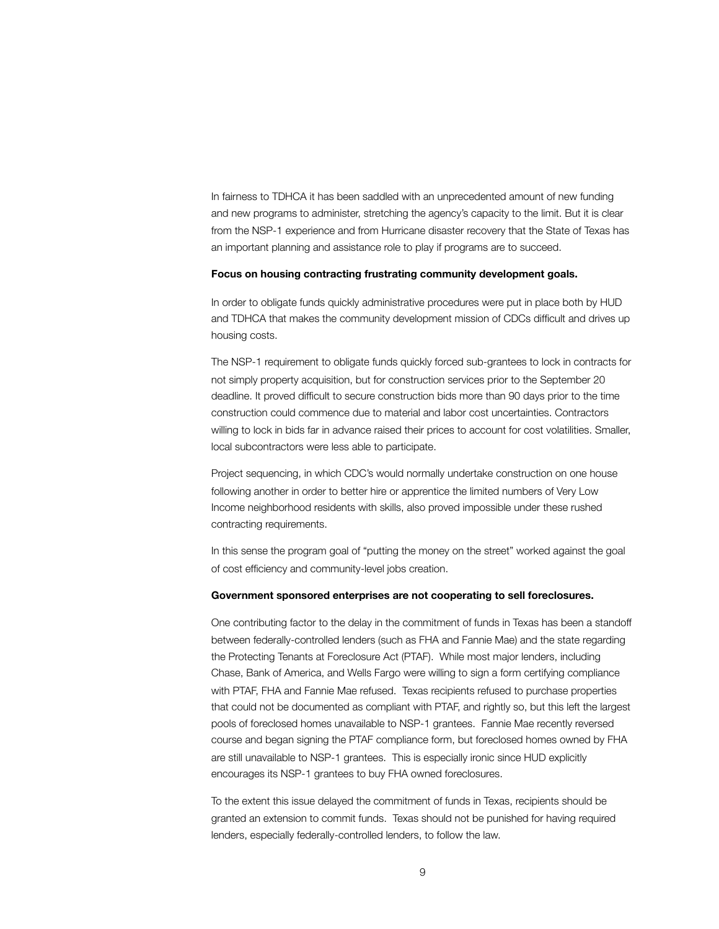In fairness to TDHCA it has been saddled with an unprecedented amount of new funding and new programs to administer, stretching the agency's capacity to the limit. But it is clear from the NSP-1 experience and from Hurricane disaster recovery that the State of Texas has an important planning and assistance role to play if programs are to succeed.

#### **Focus on housing contracting frustrating community development goals.**

In order to obligate funds quickly administrative procedures were put in place both by HUD and TDHCA that makes the community development mission of CDCs difficult and drives up housing costs.

The NSP-1 requirement to obligate funds quickly forced sub-grantees to lock in contracts for not simply property acquisition, but for construction services prior to the September 20 deadline. It proved difficult to secure construction bids more than 90 days prior to the time construction could commence due to material and labor cost uncertainties. Contractors willing to lock in bids far in advance raised their prices to account for cost volatilities. Smaller, local subcontractors were less able to participate.

Project sequencing, in which CDC's would normally undertake construction on one house following another in order to better hire or apprentice the limited numbers of Very Low Income neighborhood residents with skills, also proved impossible under these rushed contracting requirements.

In this sense the program goal of "putting the money on the street" worked against the goal of cost efficiency and community-level jobs creation.

#### **Government sponsored enterprises are not cooperating to sell foreclosures.**

One contributing factor to the delay in the commitment of funds in Texas has been a standoff between federally-controlled lenders (such as FHA and Fannie Mae) and the state regarding the Protecting Tenants at Foreclosure Act (PTAF). While most major lenders, including Chase, Bank of America, and Wells Fargo were willing to sign a form certifying compliance with PTAF, FHA and Fannie Mae refused. Texas recipients refused to purchase properties that could not be documented as compliant with PTAF, and rightly so, but this left the largest pools of foreclosed homes unavailable to NSP-1 grantees. Fannie Mae recently reversed course and began signing the PTAF compliance form, but foreclosed homes owned by FHA are still unavailable to NSP-1 grantees. This is especially ironic since HUD explicitly encourages its NSP-1 grantees to buy FHA owned foreclosures.

To the extent this issue delayed the commitment of funds in Texas, recipients should be granted an extension to commit funds. Texas should not be punished for having required lenders, especially federally-controlled lenders, to follow the law.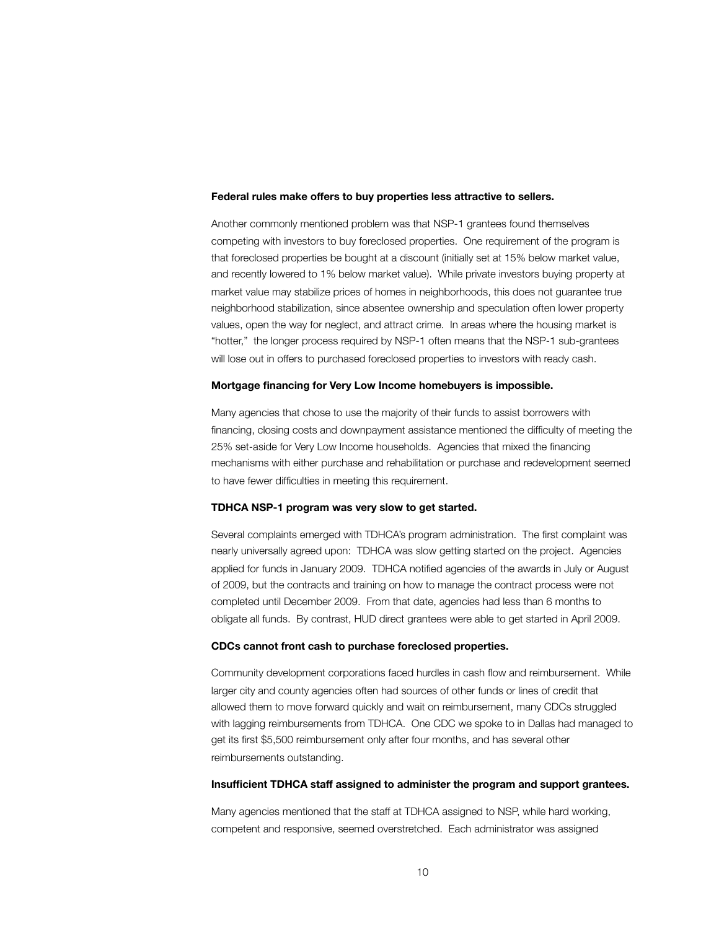#### **Federal rules make offers to buy properties less attractive to sellers.**

Another commonly mentioned problem was that NSP-1 grantees found themselves competing with investors to buy foreclosed properties. One requirement of the program is that foreclosed properties be bought at a discount (initially set at 15% below market value, and recently lowered to 1% below market value). While private investors buying property at market value may stabilize prices of homes in neighborhoods, this does not guarantee true neighborhood stabilization, since absentee ownership and speculation often lower property values, open the way for neglect, and attract crime. In areas where the housing market is "hotter," the longer process required by NSP-1 often means that the NSP-1 sub-grantees will lose out in offers to purchased foreclosed properties to investors with ready cash.

#### **Mortgage financing for Very Low Income homebuyers is impossible.**

Many agencies that chose to use the majority of their funds to assist borrowers with financing, closing costs and downpayment assistance mentioned the difficulty of meeting the 25% set-aside for Very Low Income households. Agencies that mixed the financing mechanisms with either purchase and rehabilitation or purchase and redevelopment seemed to have fewer difficulties in meeting this requirement.

#### **TDHCA NSP-1 program was very slow to get started.**

Several complaints emerged with TDHCA's program administration. The first complaint was nearly universally agreed upon: TDHCA was slow getting started on the project. Agencies applied for funds in January 2009. TDHCA notified agencies of the awards in July or August of 2009, but the contracts and training on how to manage the contract process were not completed until December 2009. From that date, agencies had less than 6 months to obligate all funds. By contrast, HUD direct grantees were able to get started in April 2009.

#### **CDCs cannot front cash to purchase foreclosed properties.**

Community development corporations faced hurdles in cash flow and reimbursement. While larger city and county agencies often had sources of other funds or lines of credit that allowed them to move forward quickly and wait on reimbursement, many CDCs struggled with lagging reimbursements from TDHCA. One CDC we spoke to in Dallas had managed to get its first \$5,500 reimbursement only after four months, and has several other reimbursements outstanding.

#### **Insufficient TDHCA staff assigned to administer the program and support grantees.**

Many agencies mentioned that the staff at TDHCA assigned to NSP, while hard working, competent and responsive, seemed overstretched. Each administrator was assigned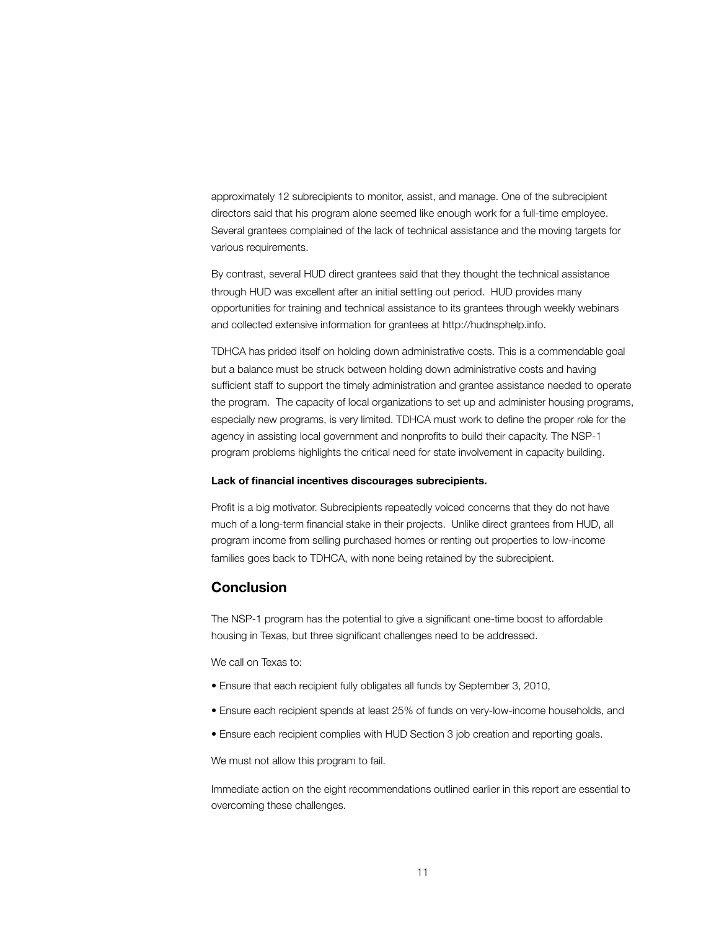approximately 12 subrecipients to monitor, assist, and manage. One of the subrecipient directors said that his program alone seemed like enough work for a full-time employee. Several grantees complained of the lack of technical assistance and the moving targets for various requirements.

By contrast, several HUD direct grantees said that they thought the technical assistance through HUD was excellent after an initial settling out period. HUD provides many opportunities for training and technical assistance to its grantees through weekly webinars and collected extensive information for grantees at http://hudnsphelp.info.

TDHCA has prided itself on holding down administrative costs. This is a commendable goal but a balance must be struck between holding down administrative costs and having sufficient staff to support the timely administration and grantee assistance needed to operate the program. The capacity of local organizations to set up and administer housing programs, especially new programs, is very limited. TDHCA must work to define the proper role for the agency in assisting local government and nonprofits to build their capacity. The NSP-1 program problems highlights the critical need for state involvement in capacity building.

#### **Lack of financial incentives discourages subrecipients.**

Profit is a big motivator. Subrecipients repeatedly voiced concerns that they do not have much of a long-term financial stake in their projects. Unlike direct grantees from HUD, all program income from selling purchased homes or renting out properties to low-income families goes back to TDHCA, with none being retained by the subrecipient.

# **Conclusion**

The NSP-1 program has the potential to give a significant one-time boost to affordable housing in Texas, but three significant challenges need to be addressed.

We call on Texas to:

- Ensure that each recipient fully obligates all funds by September 3, 2010,
- Ensure each recipient spends at least 25% of funds on very-low-income households, and
- Ensure each recipient complies with HUD Section 3 job creation and reporting goals.

We must not allow this program to fail.

Immediate action on the eight recommendations outlined earlier in this report are essential to overcoming these challenges.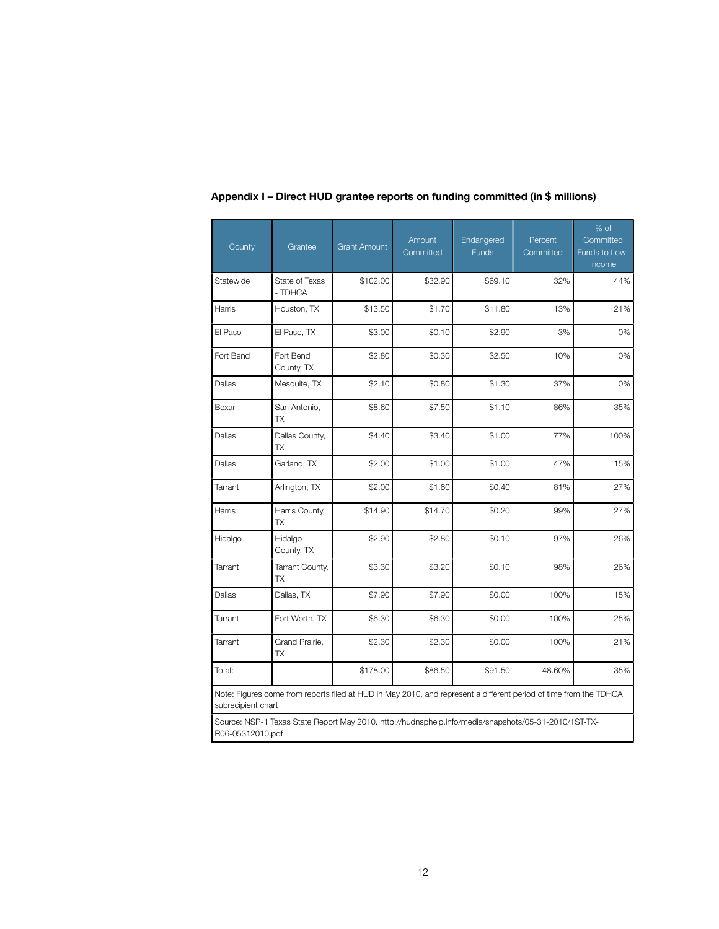| County             | Grantee                                                                                                           | <b>Grant Amount</b> | Amount<br>Committed | Endangered<br><b>Funds</b> | Percent<br>Committed | % of<br>Committed<br>Funds to Low-<br>Income |
|--------------------|-------------------------------------------------------------------------------------------------------------------|---------------------|---------------------|----------------------------|----------------------|----------------------------------------------|
| Statewide          | State of Texas<br>- TDHCA                                                                                         | \$102.00            | \$32.90             | \$69.10                    | 32%                  | 44%                                          |
| Harris             | Houston, TX                                                                                                       | \$13.50             | \$1.70              | \$11.80                    | 13%                  | 21%                                          |
| El Paso            | El Paso, TX                                                                                                       | \$3.00              | \$0.10              | \$2.90                     | 3%                   | 0%                                           |
| Fort Bend          | Fort Bend<br>County, TX                                                                                           | \$2.80              | \$0.30              | \$2.50                     | 10%                  | 0%                                           |
| Dallas             | Mesquite, TX                                                                                                      | \$2.10              | \$0.80              | \$1.30                     | 37%                  | 0%                                           |
| Bexar              | San Antonio,<br><b>TX</b>                                                                                         | \$8.60              | \$7.50              | \$1.10                     | 86%                  | 35%                                          |
| Dallas             | Dallas County,<br><b>TX</b>                                                                                       | \$4.40              | \$3.40              | \$1.00                     | 77%                  | 100%                                         |
| Dallas             | Garland, TX                                                                                                       | \$2.00              | \$1.00              | \$1.00                     | 47%                  | 15%                                          |
| Tarrant            | Arlington, TX                                                                                                     | \$2.00              | \$1.60              | \$0.40                     | 81%                  | 27%                                          |
| Harris             | Harris County,<br>TX                                                                                              | \$14.90             | \$14.70             | \$0.20                     | 99%                  | 27%                                          |
| Hidalgo            | Hidalgo<br>County, TX                                                                                             | \$2.90              | \$2.80              | \$0.10                     | 97%                  | 26%                                          |
| Tarrant            | Tarrant County,<br>TX                                                                                             | \$3.30              | \$3.20              | \$0.10                     | 98%                  | 26%                                          |
| Dallas             | Dallas, TX                                                                                                        | \$7.90              | \$7.90              | \$0.00                     | 100%                 | 15%                                          |
| Tarrant            | Fort Worth, TX                                                                                                    | \$6.30              | \$6.30              | \$0.00                     | 100%                 | 25%                                          |
| Tarrant            | Grand Prairie,<br>ТX                                                                                              | \$2.30              | \$2.30              | \$0.00                     | 100%                 | 21%                                          |
| Total:             |                                                                                                                   | \$178.00            | \$86.50             | \$91.50                    | 48.60%               | 35%                                          |
| subrecipient chart | Note: Figures come from reports filed at HUD in May 2010, and represent a different period of time from the TDHCA |                     |                     |                            |                      |                                              |
| R06-05312010.pdf   | Source: NSP-1 Texas State Report May 2010. http://hudnsphelp.info/media/snapshots/05-31-2010/1ST-TX-              |                     |                     |                            |                      |                                              |

**Appendix I – Direct HUD grantee reports on funding committed (in \$ millions)**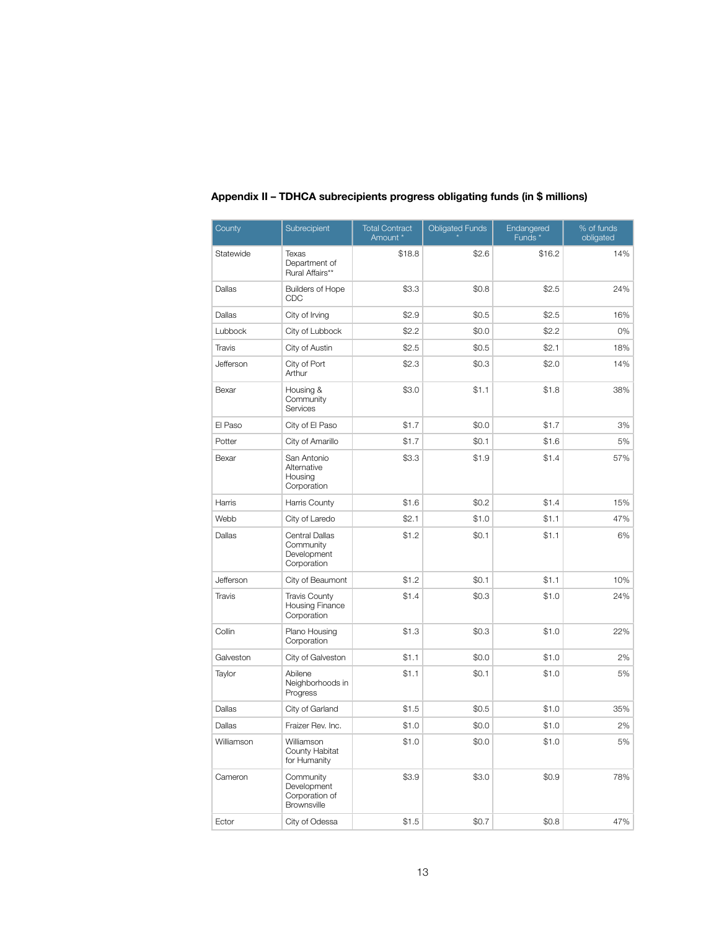| County                     | Subrecipient                                              | <b>Total Contract</b><br>Amount * | <b>Obligated Funds</b> | Endangered<br>Funds <sup>*</sup> | % of funds<br>obligated |
|----------------------------|-----------------------------------------------------------|-----------------------------------|------------------------|----------------------------------|-------------------------|
| Statewide                  | Texas<br>Department of<br>Rural Affairs**                 | \$18.8                            | \$2.6                  | \$16.2                           | 14%                     |
| Dallas                     | <b>Builders of Hope</b><br>CDC                            | \$3.3                             | \$0.8                  | \$2.5                            | 24%                     |
| Dallas                     | City of Irving                                            | \$2.9                             | \$0.5                  | \$2.5                            | 16%                     |
| Lubbock                    | City of Lubbock                                           | \$2.2                             | \$0.0                  | \$2.2                            | 0%                      |
| Travis                     | City of Austin                                            | \$2.5                             | \$0.5                  | \$2.1                            | 18%                     |
| Jefferson                  | City of Port<br>Arthur                                    | \$2.3                             | \$0.3                  | \$2.0                            | 14%                     |
| Bexar                      | Housing &<br>Community<br>Services                        | \$3.0                             | \$1.1                  | \$1.8                            | 38%                     |
| El Paso<br>City of El Paso |                                                           | \$1.7                             | \$0.0                  | \$1.7                            | 3%                      |
| Potter                     | City of Amarillo                                          | \$1.7                             | \$0.1                  | \$1.6                            | 5%                      |
| Bexar                      | San Antonio<br>Alternative<br>Housing<br>Corporation      | \$3.3                             | \$1.9                  | \$1.4                            | 57%                     |
| Harris                     | Harris County                                             | \$1.6                             | \$0.2                  | \$1.4                            | 15%                     |
| Webb                       | City of Laredo                                            | \$2.1                             | \$1.0                  | \$1.1                            | 47%                     |
| Dallas                     | Central Dallas<br>Community<br>Development<br>Corporation | \$1.2                             | \$0.1                  | \$1.1                            | 6%                      |
| Jefferson                  | City of Beaumont                                          | \$1.2                             | \$0.1                  | \$1.1                            | 10%                     |
| Travis                     | <b>Travis County</b><br>Housing Finance<br>Corporation    | \$1.4                             | \$0.3                  | \$1.0                            | 24%                     |
| Collin                     | Plano Housing<br>Corporation                              | \$1.3                             | \$0.3                  | \$1.0                            | 22%                     |
| Galveston                  | City of Galveston                                         | \$1.1                             | \$0.0                  | \$1.0                            | 2%                      |
| Taylor                     | Abilene<br>Neighborhoods in<br>Progress                   | \$1.1                             | \$0.1                  | \$1.0                            | 5%                      |
| Dallas                     | City of Garland                                           | \$1.5                             | \$0.5                  | \$1.0                            | 35%                     |
| Dallas                     | Fraizer Rev. Inc.                                         | \$1.0                             | \$0.0                  | \$1.0                            | 2%                      |
| Williamson                 | Williamson<br>County Habitat<br>for Humanity              | \$1.0                             | \$0.0                  | \$1.0                            | 5%                      |
| Cameron                    | Community<br>Development<br>Corporation of<br>Brownsville | \$3.9                             | \$3.0                  | \$0.9                            | 78%                     |
| Ector                      | City of Odessa                                            | \$1.5                             | \$0.7                  | \$0.8                            | 47%                     |

# **Appendix II – TDHCA subrecipients progress obligating funds (in \$ millions)**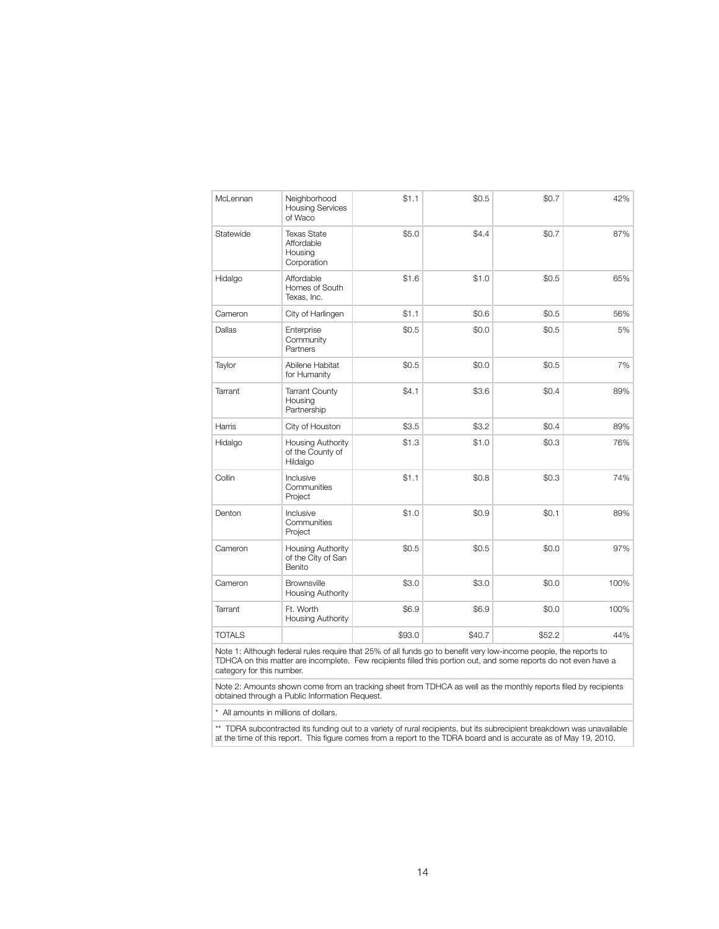| McLennan      | Neighborhood<br><b>Housing Services</b><br>of Waco         | \$1.1  | \$0.5  | \$0.7  | 42%  |
|---------------|------------------------------------------------------------|--------|--------|--------|------|
| Statewide     | <b>Texas State</b><br>Affordable<br>Housing<br>Corporation | \$5.0  | \$4.4  | \$0.7  | 87%  |
| Hidalgo       | Affordable<br>Homes of South<br>Texas, Inc.                | \$1.6  | \$1.0  | \$0.5  | 65%  |
| Cameron       | City of Harlingen                                          | \$1.1  | \$0.6  | \$0.5  | 56%  |
| Dallas        | Enterprise<br>Community<br>Partners                        | \$0.5  | \$0.0  | \$0.5  | 5%   |
| Taylor        | Abilene Habitat<br>for Humanity                            | \$0.5  | \$0.0  | \$0.5  | 7%   |
| Tarrant       | <b>Tarrant County</b><br>Housing<br>Partnership            | \$4.1  | \$3.6  | \$0.4  | 89%  |
| Harris        | City of Houston                                            | \$3.5  | \$3.2  | \$0.4  | 89%  |
| Hidalgo       | Housing Authority<br>of the County of<br>Hildalgo          | \$1.3  | \$1.0  | \$0.3  | 76%  |
| Collin        | Inclusive<br>Communities<br>Project                        | \$1.1  | \$0.8  | \$0.3  | 74%  |
| Denton        | Inclusive<br>Communities<br>Project                        | \$1.0  | \$0.9  | \$0.1  | 89%  |
| Cameron       | Housing Authority<br>of the City of San<br>Benito          | \$0.5  | \$0.5  | \$0.0  | 97%  |
| Cameron       | <b>Brownsville</b><br>Housing Authority                    | \$3.0  | \$3.0  | \$0.0  | 100% |
| Tarrant       | Ft. Worth<br><b>Housing Authority</b>                      | \$6.9  | \$6.9  | \$0.0  | 100% |
| <b>TOTALS</b> |                                                            | \$93.0 | \$40.7 | \$52.2 | 44%  |

Note 1: Although federal rules require that 25% of all funds go to benefit very low-income people, the reports to TDHCA on this matter are incomplete. Few recipients filled this portion out, and some reports do not even have a category for this number.

Note 2: Amounts shown come from an tracking sheet from TDHCA as well as the monthly reports filed by recipients obtained through a Public Information Request.

\* All amounts in millions of dollars.

\*\* TDRA subcontracted its funding out to a variety of rural recipients, but its subrecipient breakdown was unavailable at the time of this report. This figure comes from a report to the TDRA board and is accurate as of May 19, 2010.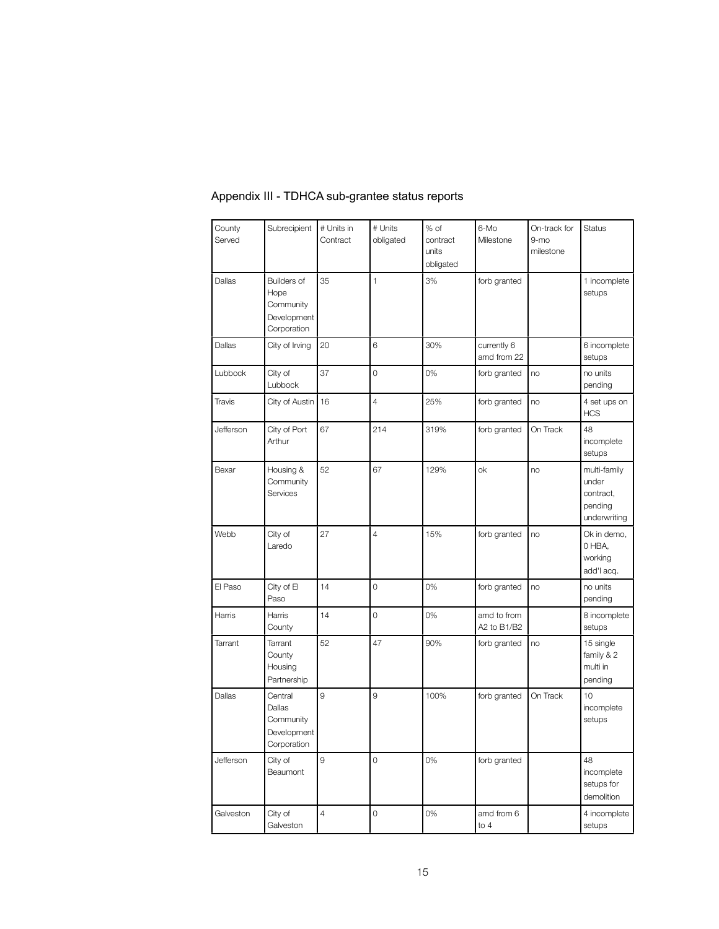| County<br>Served | Subrecipient                                                   | # Units in<br>Contract | # Units<br>obligated | % of<br>contract<br>units<br>obligated | 6-Mo<br>Milestone          | On-track for<br>$9-mo$<br>milestone | <b>Status</b>                                                 |
|------------------|----------------------------------------------------------------|------------------------|----------------------|----------------------------------------|----------------------------|-------------------------------------|---------------------------------------------------------------|
| Dallas           | Builders of<br>Hope<br>Community<br>Development<br>Corporation | 35                     | $\mathbf{1}$         | 3%                                     | forb granted               |                                     | 1 incomplete<br>setups                                        |
| Dallas           | City of Irving                                                 | 20                     | 6                    | 30%                                    | currently 6<br>amd from 22 |                                     | 6 incomplete<br>setups                                        |
| Lubbock          | City of<br>Lubbock                                             | 37                     | $\overline{O}$       | 0%                                     | forb granted               | no                                  | no units<br>pending                                           |
| Travis           | City of Austin                                                 | 16                     | $\overline{4}$       | 25%                                    | forb granted               | no                                  | 4 set ups on<br><b>HCS</b>                                    |
| Jefferson        | City of Port<br>Arthur                                         | 67                     | 214                  | 319%                                   | forb granted               | On Track                            | 48<br>incomplete<br>setups                                    |
| Bexar            | Housing &<br>Community<br>Services                             | 52                     | 67                   | 129%                                   | ok                         | no                                  | multi-family<br>under<br>contract,<br>pending<br>underwriting |
| Webb             | City of<br>Laredo                                              | 27                     | $\overline{4}$       | 15%                                    | forb granted               | no                                  | Ok in demo,<br>0 HBA,<br>working<br>add'l acq.                |
| El Paso          | City of El<br>Paso                                             | 14                     | $\overline{O}$       | 0%                                     | forb granted               | no                                  | no units<br>pending                                           |
| Harris           | Harris<br>County                                               | 14                     | $\overline{O}$       | 0%                                     | amd to from<br>A2 to B1/B2 |                                     | 8 incomplete<br>setups                                        |
| Tarrant          | Tarrant<br>County<br>Housing<br>Partnership                    | 52                     | 47                   | 90%                                    | forb granted               | no                                  | 15 single<br>family & 2<br>multi in<br>pending                |
| Dallas           | Central<br>Dallas<br>Community<br>Development<br>Corporation   | 9                      | 9                    | 100%                                   | forb granted               | On Track                            | 10<br>incomplete<br>setups                                    |
| Jefferson        | City of<br>Beaumont                                            | 9                      | $\circ$              | 0%                                     | forb granted               |                                     | 48<br>incomplete<br>setups for<br>demolition                  |
| Galveston        | City of<br>Galveston                                           | 4                      | $\circ$              | 0%                                     | amd from 6<br>to 4         |                                     | 4 incomplete<br>setups                                        |

# Appendix III - TDHCA sub-grantee status reports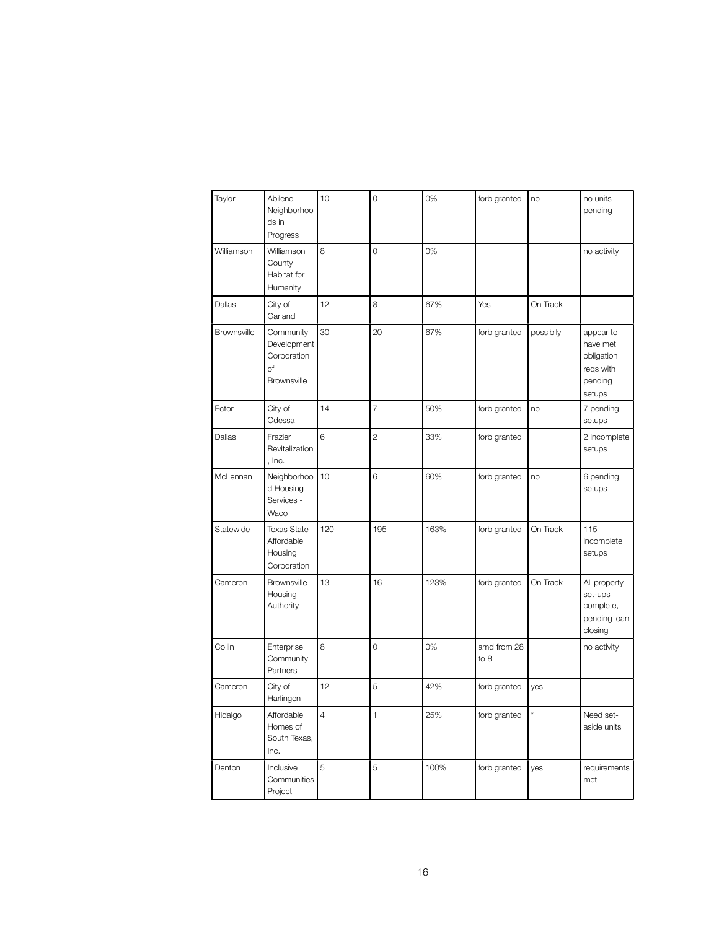| Taylor             | Abilene<br>Neighborhoo<br>ds in<br>Progress                  | 10             | $\overline{O}$ | 0%   | forb granted        | no        | no units<br>pending                                                   |
|--------------------|--------------------------------------------------------------|----------------|----------------|------|---------------------|-----------|-----------------------------------------------------------------------|
| Williamson         | Williamson<br>County<br>Habitat for<br>Humanity              | 8              | $\overline{O}$ | 0%   |                     |           | no activity                                                           |
| Dallas             | City of<br>Garland                                           | 12             | 8              | 67%  | Yes                 | On Track  |                                                                       |
| <b>Brownsville</b> | Community<br>Development<br>Corporation<br>Οf<br>Brownsville | 30             | 20             | 67%  | forb granted        | possibily | appear to<br>have met<br>obligation<br>regs with<br>pending<br>setups |
| Ector              | City of<br>Odessa                                            | 14             | $\overline{7}$ | 50%  | forb granted        | no        | 7 pending<br>setups                                                   |
| Dallas             | Frazier<br>Revitalization<br>, Inc.                          | 6              | $\overline{c}$ | 33%  | forb granted        |           | 2 incomplete<br>setups                                                |
| McLennan           | Neighborhoo<br>d Housing<br>Services -<br>Waco               | 10             | 6              | 60%  | forb granted        | no        | 6 pending<br>setups                                                   |
| Statewide          | <b>Texas State</b><br>Affordable<br>Housing<br>Corporation   | 120            | 195            | 163% | forb granted        | On Track  | 115<br>incomplete<br>setups                                           |
| Cameron            | Brownsville<br>Housing<br>Authority                          | 13             | 16             | 123% | forb granted        | On Track  | All property<br>set-ups<br>complete,<br>pending loan<br>closing       |
| Collin             | Enterprise<br>Community<br>Partners                          | 8              | $\mathbf 0$    | 0%   | amd from 28<br>to 8 |           | no activity                                                           |
| Cameron            | City of<br>Harlingen                                         | 12             | 5              | 42%  | forb granted        | yes       |                                                                       |
| Hidalgo            | Affordable<br>Homes of<br>South Texas,<br>Inc.               | $\overline{4}$ | $\mathbf{1}$   | 25%  | forb granted        | ×         | Need set-<br>aside units                                              |
| Denton             | Inclusive<br>Communities<br>Project                          | 5              | 5              | 100% | forb granted        | yes       | requirements<br>met                                                   |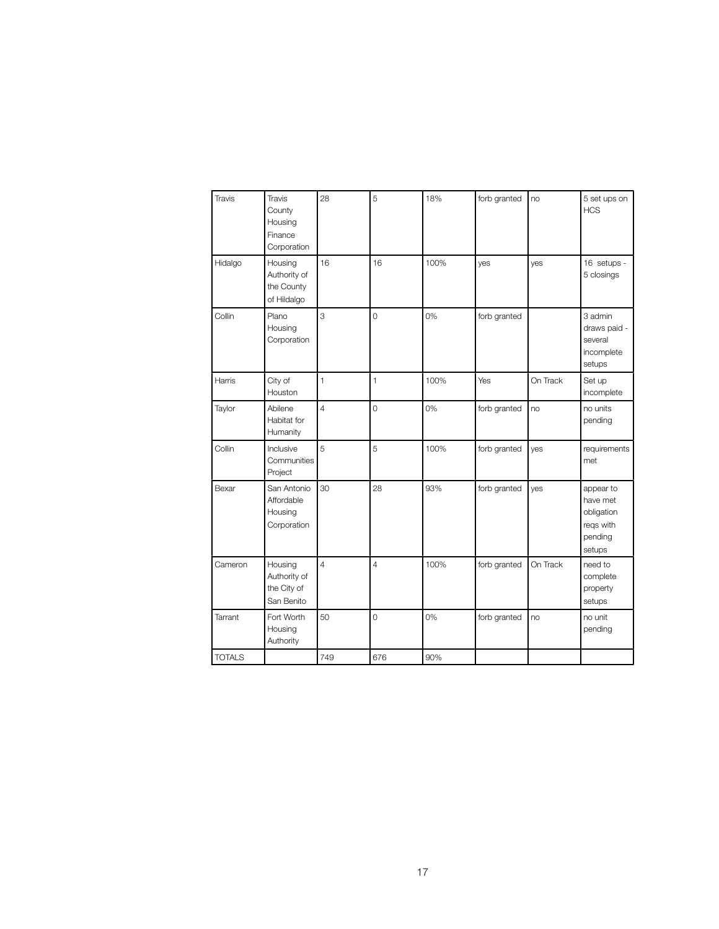| Travis        | Travis<br>County<br>Housing<br>Finance<br>Corporation | 28             | 5              | 18%  | forb granted | no       | 5 set ups on<br><b>HCS</b>                                            |
|---------------|-------------------------------------------------------|----------------|----------------|------|--------------|----------|-----------------------------------------------------------------------|
| Hidalgo       | Housing<br>Authority of<br>the County<br>of Hildalgo  | 16             | 16             | 100% | yes          | yes      | 16 setups -<br>5 closings                                             |
| Collin        | Plano<br>Housing<br>Corporation                       | 3              | $\overline{O}$ | 0%   | forb granted |          | 3 admin<br>draws paid -<br>several<br>incomplete<br>setups            |
| Harris        | City of<br>Houston                                    | $\mathbf{1}$   | $\mathbf{1}$   | 100% | Yes          | On Track | Set up<br>incomplete                                                  |
| Taylor        | Abilene<br>Habitat for<br>Humanity                    | $\overline{4}$ | $\overline{O}$ | 0%   | forb granted | no       | no units<br>pending                                                   |
| Collin        | Inclusive<br>Communities<br>Project                   | 5              | 5              | 100% | forb granted | yes      | requirements<br>met                                                   |
| Bexar         | San Antonio<br>Affordable<br>Housing<br>Corporation   | 30             | 28             | 93%  | forb granted | yes      | appear to<br>have met<br>obligation<br>regs with<br>pending<br>setups |
| Cameron       | Housing<br>Authority of<br>the City of<br>San Benito  | $\overline{4}$ | $\overline{4}$ | 100% | forb granted | On Track | need to<br>complete<br>property<br>setups                             |
| Tarrant       | Fort Worth<br>Housing<br>Authority                    | 50             | $\mathbf 0$    | 0%   | forb granted | no       | no unit<br>pending                                                    |
| <b>TOTALS</b> |                                                       | 749            | 676            | 90%  |              |          |                                                                       |